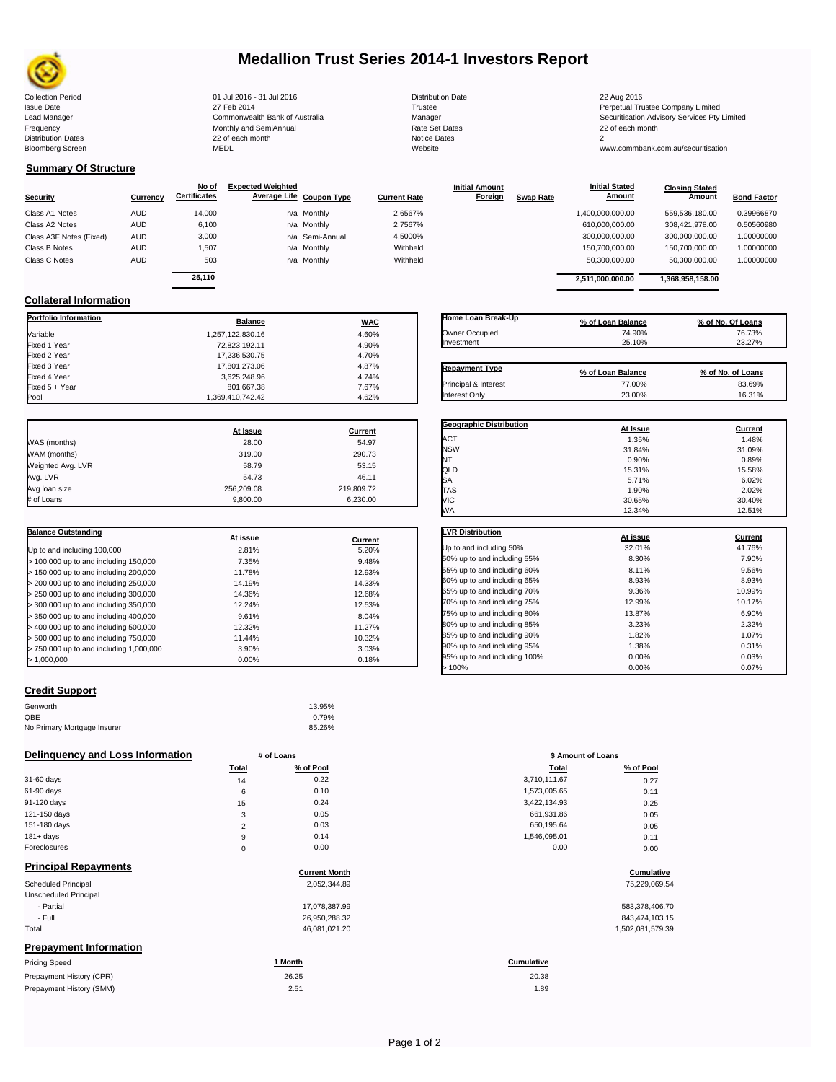

# **Medallion Trust Series 2014-1 Investors Report**

Collection Period 22 Aug 2016 - 31 Jul 2016 - 31 Jul 2016 - 31 Jul 2016 - 31 Jul 2016 - 32 Aug 2016 Issue Date 2014 27 Feb 2014 27 Feb 2014<br>Isaad Manager 2015 2017 Commonwealth Bank of Australia 2016 Manager 2016 2017 2017 Securitisation Advisory Services Pty Frequency Communication Communication Monthly and SemiAnnual Communication Communication Communication Communication Communication Communication Communication Communication Communication Communication Communication Communi n and the continuum continuum continuum continuum continuum continuum continuum continuum continuum continuum c<br>
22 of each month 2<br>
MEDL Website Website Bloomberg Screen MEDL Website www.commbank.com.au/securitisation

Lead Manager **Commonwealth Bank of Australia** Manager Manager Securitisation Advisory Services Pty Limited

**Closing Stated Amount**

### **Summary Of Structure**

**Collateral Information**

|                         |            | No of               | <b>Expected Weighted</b> |                 |                     | <b>Initial Amount</b> |                  | <b>Initial Stated</b> | <b>Closing Stated</b> |                    |
|-------------------------|------------|---------------------|--------------------------|-----------------|---------------------|-----------------------|------------------|-----------------------|-----------------------|--------------------|
| <b>Security</b>         | Currency   | <b>Certificates</b> | Average Life Coupon Type |                 | <b>Current Rate</b> | <b>Foreign</b>        | <b>Swap Rate</b> | <b>Amount</b>         | Amount                | <b>Bond Factor</b> |
| Class A1 Notes          | <b>AUD</b> | 14.000              |                          | n/a Monthly     | 2.6567%             |                       |                  | 1,400,000,000.00      | 559.536.180.00        | 0.39966870         |
| Class A2 Notes          | <b>AUD</b> | 6,100               |                          | n/a Monthly     | 2.7567%             |                       |                  | 610,000,000.00        | 308.421.978.00        | 0.50560980         |
| Class A3F Notes (Fixed) | <b>AUD</b> | 3,000               |                          | n/a Semi-Annual | 4.5000%             |                       |                  | 300,000,000.00        | 300.000.000.00        | 1.00000000         |
| Class B Notes           | AUD        | 1.507               |                          | n/a Monthly     | Withheld            |                       |                  | 150,700,000.00        | 150.700.000.00        | 1.00000000         |
| Class C Notes           | <b>AUD</b> | 503                 |                          | n/a Monthly     | Withheld            |                       |                  | 50,300,000.00         | 50,300,000.00         | 1.00000000         |
|                         |            | 25.110              |                          |                 |                     |                       |                  | 2.511.000.000.00      | 1.368.958.158.00      |                    |
|                         |            |                     |                          |                 |                     |                       |                  |                       |                       |                    |

**Portfolio Information Balance WAC** Variable 1,257,122,830.16 4.60% Fixed 1 Year 72,823,192.11 4.90% Fixed 2 Year 17,236,530.75 4.70% Fixed 3 Year 17,801,273.06 4.87%

Fixed 5 + Year 7.67% 801,667.38 7.67% 801,667.38 7.67% 801,667.38 7.67% 901,687% 901,687% 901,687% 90

1,369,410,742.42

| Home Loan Break-Up    | % of Loan Balance | % of No. Of Loans |
|-----------------------|-------------------|-------------------|
| Owner Occupied        | 74.90%            | 76.73%            |
| Investment            | 25.10%            | 23.27%            |
|                       |                   |                   |
| <b>Repayment Type</b> | % of Loan Balance | % of No. of Loans |
| Principal & Interest  | 77.00%            | 83.69%            |
| Interest Only         | 23.00%            | 16.31%            |

**Geographic Distribution At Issue Current**

**Initial Stated** 

|                   | At Issue   | Current    |
|-------------------|------------|------------|
| WAS (months)      | 28.00      | 54.97      |
| WAM (months)      | 319.00     | 290.73     |
| Weighted Avg. LVR | 58.79      | 53.15      |
| Avg. LVR          | 54.73      | 46.11      |
| Avg loan size     | 256.209.08 | 219,809.72 |
| # of Loans        | 9.800.00   | 6,230.00   |

3,625,248.96 4.74%<br>801,667.38 7.67%

| <b>Balance Outstanding</b>              | At issue | Current |
|-----------------------------------------|----------|---------|
| Up to and including 100,000             | 2.81%    | 5.20%   |
| $>$ 100,000 up to and including 150,000 | 7.35%    | 9.48%   |
| $>$ 150,000 up to and including 200,000 | 11.78%   | 12.93%  |
| > 200,000 up to and including 250,000   | 14.19%   | 14.33%  |
| $>$ 250,000 up to and including 300,000 | 14.36%   | 12.68%  |
| $>$ 300,000 up to and including 350,000 | 12.24%   | 12.53%  |
| $>$ 350,000 up to and including 400,000 | 9.61%    | 8.04%   |
| $>$ 400,000 up to and including 500,000 | 12.32%   | 11.27%  |
| > 500,000 up to and including 750,000   | 11.44%   | 10.32%  |
| > 750,000 up to and including 1,000,000 | 3.90%    | 3.03%   |
| > 1.000.000                             | 0.00%    | 0.18%   |

### **Credit Support**

| 13.95% |
|--------|
| 0.79%  |
| 85.26% |
|        |

### **Delinquency and Loss Information # of Loans**

|              | Total  | % of Pool | Total        | % of Pool |
|--------------|--------|-----------|--------------|-----------|
| 31-60 days   | 14     | 0.22      | 3,710,111.67 | 0.27      |
| 61-90 days   | 6      | 0.10      | 1,573,005.65 | 0.11      |
| 91-120 days  | 15     | 0.24      | 3,422,134.93 | 0.25      |
| 121-150 days | 3      | 0.05      | 661,931.86   | 0.05      |
| 151-180 days | C<br>∠ | 0.03      | 650.195.64   | 0.05      |
| $181 + days$ | 9      | 0.14      | 1.546.095.01 | 0.11      |
| Foreclosures |        | 0.00      | 0.00         | 0.00      |

| <b>Principal Repayments</b>   |                      |                  |
|-------------------------------|----------------------|------------------|
|                               | <b>Current Month</b> | Cumulative       |
| Scheduled Principal           | 2,052,344.89         | 75,229,069.54    |
| Unscheduled Principal         |                      |                  |
| - Partial                     | 17,078,387.99        | 583,378,406.70   |
| - Full                        | 26,950,288.32        | 843,474,103.15   |
| Total                         | 46,081,021.20        | 1,502,081,579.39 |
| <b>Prepayment Information</b> |                      |                  |
| <b>Pricing Speed</b>          | 1 Month              | Cumulative       |
| Prepayment History (CPR)      | 26.25                | 20.38            |

| Pricing Speed            | montn | cumulative |
|--------------------------|-------|------------|
| Prepayment History (CPR) | 26.25 | 20.38      |
| Prepayment History (SMM) | 2.51  | 1.89       |

| ACT                         | 1.35%    | 1.48%   |
|-----------------------------|----------|---------|
| <b>NSW</b>                  | 31.84%   | 31.09%  |
| NT                          | 0.90%    | 0.89%   |
| QLD                         | 15.31%   | 15.58%  |
| SA                          | 5.71%    | 6.02%   |
| <b>TAS</b>                  | 1.90%    | 2.02%   |
| VIC                         | 30.65%   | 30.40%  |
| WA                          | 12.34%   | 12.51%  |
|                             |          |         |
| <b>LVR Distribution</b>     | At issue | Current |
| Up to and including 50%     | 32.01%   | 41.76%  |
| 50% up to and including 55% | 8.30%    | 7.90%   |
| 55% up to and including 60% | 8.11%    | 9.56%   |
| 60% up to and including 65% | 8.93%    | 8.93%   |
| 65% up to and including 70% | 9.36%    | 10.99%  |
| 70% up to and including 75% | 12.99%   | 10.17%  |
| 75% up to and including 80% | 13.87%   | 6.90%   |
| 80% up to and including 85% | 3.23%    | 2.32%   |
| 85% up to and including 90% | 1.82%    | 1.07%   |
| 90% up to and including 95% | 1.38%    | 0.31%   |

90% up to and including 95% 1.38% 1.38% 1.38% 0.31% 0.31% 0.31%<br>المردى المسلم 1.38% 0.00% 0.03% 0.03% 0.03% 0.03% 95% up to and including 100% 0.00% 0.03%  $> 100\%$  0.07% 0.000% 0.07%

| # of Loans     |           | \$ Amount of Loans |           |  |
|----------------|-----------|--------------------|-----------|--|
| Total          | % of Pool | Total              | % of Pool |  |
| 14             | 0.22      | 3,710,111.67       | 0.27      |  |
| 6              | 0.10      | 1,573,005.65       | 0.11      |  |
| 15             | 0.24      | 3,422,134.93       | 0.25      |  |
| 3              | 0.05      | 661,931.86         | 0.05      |  |
| $\overline{2}$ | 0.03      | 650,195.64         | 0.05      |  |
| 9              | 0.14      | 1,546,095.01       | 0.11      |  |
| $\mathbf 0$    | 0.00      | 0.00               | 0.00      |  |

# **Cumulative Cumulative**

| 583.378.406.70   |
|------------------|
| 843.474.103.15   |
| 1.502.081.579.39 |